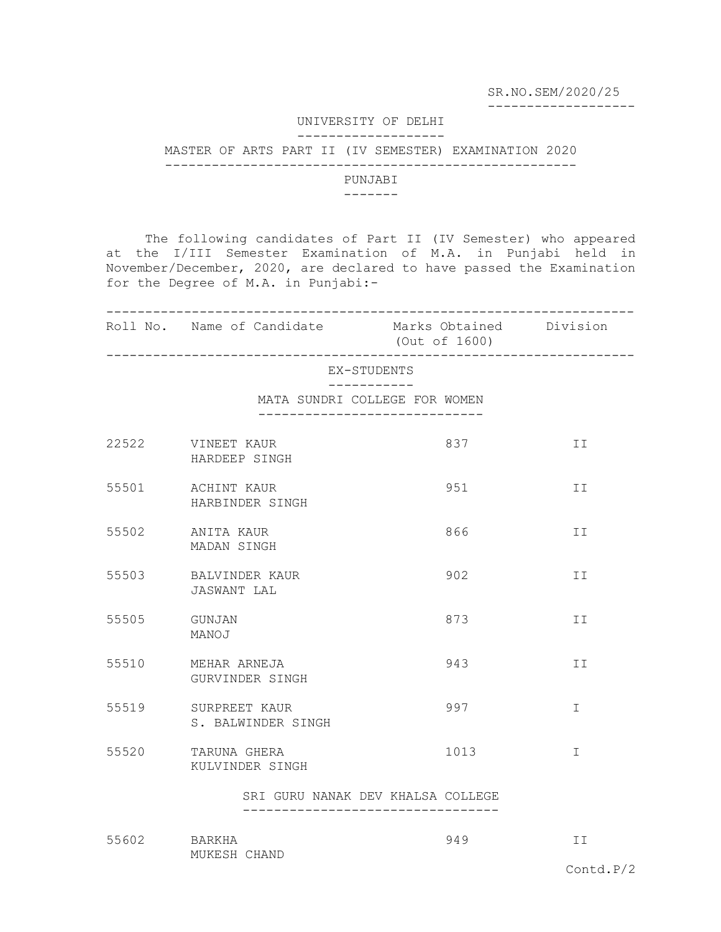SR.NO.SEM/2020/25

-------------------

## UNIVERSITY OF DELHI -------------------

## MASTER OF ARTS PART II (IV SEMESTER) EXAMINATION 2020

-----------------------------------------------------

## PUNJABI

## -------

 The following candidates of Part II (IV Semester) who appeared at the I/III Semester Examination of M.A. in Punjabi held in November/December, 2020, are declared to have passed the Examination for the Degree of M.A. in Punjabi:-

|             | Roll No. Name of Candidate Marks Obtained Division                 | (Out of 1600) |              |
|-------------|--------------------------------------------------------------------|---------------|--------------|
| EX-STUDENTS |                                                                    |               |              |
|             | MATA SUNDRI COLLEGE FOR WOMEN<br>-------------------------         |               |              |
| 22522       | VINEET KAUR<br>HARDEEP SINGH                                       | 837           | II           |
| 55501       | ACHINT KAUR<br>HARBINDER SINGH                                     | 951           | II           |
| 55502       | ANITA KAUR<br>MADAN SINGH                                          | 866           | ΙI           |
| 55503       | BALVINDER KAUR<br>JASWANT LAL                                      | 902           | II           |
| 55505       | GUNJAN<br>MANOJ                                                    | 873           | ΙI           |
| 55510       | MEHAR ARNEJA<br>GURVINDER SINGH                                    | 943           | II           |
|             | 55519 SURPREET KAUR<br>S. BALWINDER SINGH                          | 997           | I            |
| 55520       | TARUNA GHERA<br>KULVINDER SINGH                                    | 1013          | $\mathbb{I}$ |
|             | SRI GURU NANAK DEV KHALSA COLLEGE<br>----------------------------- |               |              |
| 55602       | BARKHA<br>MUKESH CHAND                                             | 949           | II           |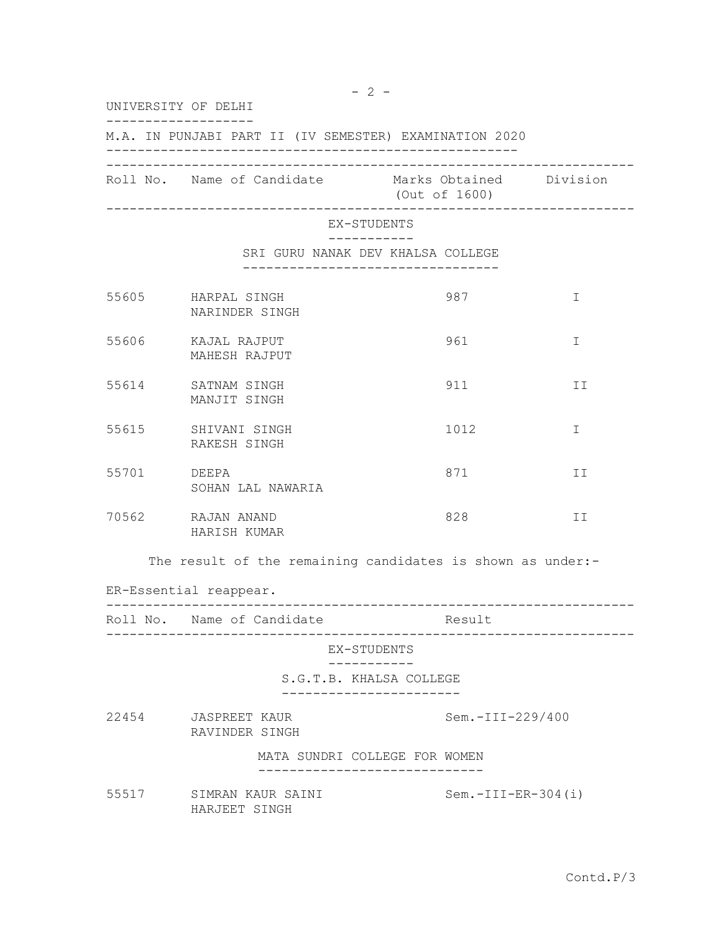$- 2 -$ UNIVERSITY OF DELHI ------------------- M.A. IN PUNJABI PART II (IV SEMESTER) EXAMINATION 2020 ----------------------------------------------------- -------------------------------------------------------------------- Roll No. Name of Candidate Marks Obtained Division (Out of 1600) -------------------------------------------------------------------- EX-STUDENTS ----------- SRI GURU NANAK DEV KHALSA COLLEGE --------------------------------- 55605 HARPAL SINGH 987 I NARINDER SINGH 55606 KAJAL RAJPUT 961 I MAHESH RAJPUT 55614 SATNAM SINGH 911 911 II MANJIT SINGH 55615 SHIVANI SINGH 1012 I RAKESH SINGH 55701 DEEPA 871 II SOHAN LAL NAWARIA 70562 RAJAN ANAND 828 II HARISH KUMAR The result of the remaining candidates is shown as under:-ER-Essential reappear. -------------------------------------------------------------------- Roll No. Name of Candidate Result -------------------------------------------------------------------- EX-STUDENTS ----------- S.G.T.B. KHALSA COLLEGE ----------------------- 22454 JASPREET KAUR Sem.-III-229/400 RAVINDER SINGH MATA SUNDRI COLLEGE FOR WOMEN ----------------------------- 55517 SIMRAN KAUR SAINI Sem.-III-ER-304(i) HARJEET SINGH